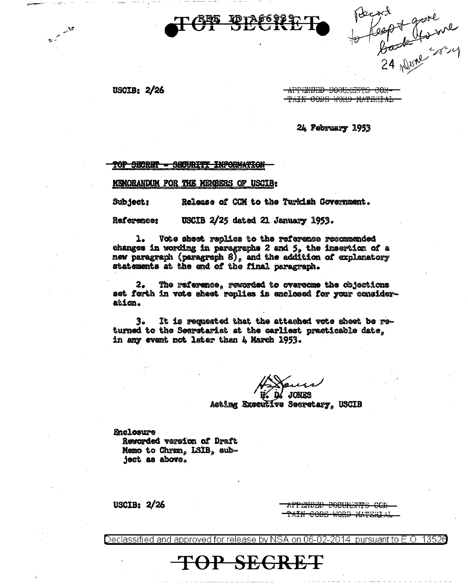

Record<br>to feept youre

USCIB:  $2/26$ 

فكلمتم مرقة

APPENDED DOCUMENTS CON-TAIN CODE WORD MATERIAL

24 February 1953

<del>TOP SECRET</del> **SECURITY INFORMATION** 

MEMORANDUM FOR THE MEMBERS OF USCIB:

Subject: Release of CCM to the Turkish Government.

USCIB 2/25 dated 21 January 1953. Reference:

ı. Vote sheet replies to the reference recommended changes in wording in paragraphs 2 and 5, the insertion of a new paragraph (paragraph  $8$ ), and the addition of explanatory statements at the end of the final peragraph.

2. The reference, rewarded to overcome the cbjections set forth in vote sheet replies is enclosed for your consideration.

3. It is requested that the attached vote sheet be returned to the Secretariat at the earliest practicable date, in any event not later than 4 March 1953.

**JONES** 

Acting Executive Secretary, USCIB

**Enclosure** Reworded version of Draft Memo to Chrmn, LSIB, subject as above.

USCIB:  $2/26$ 

<del>APPENDED DOCUMENTS COM</del> <del>TAIN CODE WORD MATERIA</del>

Declassified and approved for release by NSA on 06-02-2014. 13526 pursuant to  $E$ . O

**TOP SEGRET**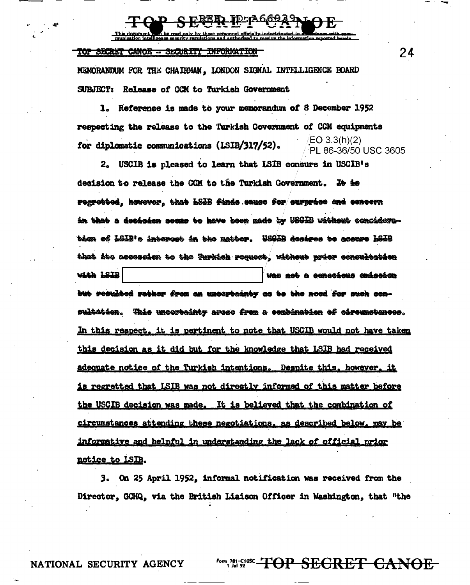TOP SECRET CANOE - SECURITY INFORMATION

MEMORANDUM FOR THE CHAIRMAN, LONDON SIGNAL INTELLIGENCE BOARD SUBJECT: Release of CCM to Turkish Government

Reference is made to your memorandum of 8 December 1952 ı. respecting the release to the Turkish Government of CCM equipments EO 3.3(h)(2) for diplomatic communications (LSIB/317/52). PL 86-36/50 USC 3605

2. USCIB is pleased to learn that ISIB concurs in USCIB's decision to release the CCM to the Turkish Government. To to rogrebbed, kowever, that LSIB finds sauce for curprise and concern an that a decision seems to have been made by USGIB without consideration of LSIB's intercet in the matter. WSGIB desires to accure LSIB that its accession to the <del>Turki</del>sh request, without prior concultation with LSIB was not a censcious emissien but resulted rather from an uncertainty as to the noed for such cen-<del>sultation</del>. <del>This uncertainty</del> areae from a combination of circumstances. In this respect, it is pertinent to note that USCIB would not have taken this decision as it did but for the knowledge that LSIB had received adequate notice of the Turkish intentions. Despite this, however, it <u>is regretted that LSIB was not directly informed of this matter before</u> the USCIB decision was made. It is believed that the combination of circumstances attending these negotiations, as described below, may be informative and helpful in understanding the lack of official prior notice to LSIB.

3. On 25 April 1952, informal notification was received from the Director, GCHQ, via the British Liaison Officer in Washington, that "the

NATIONAL SECURITY AGENCY

<del>OP SECRET CANOE</del>

24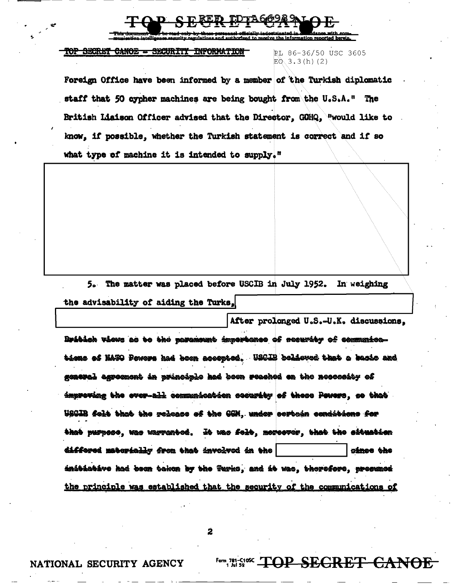mation reported bergin

## TOP SECRET CANOE - SECURITY INFORMATION

RL 86-36/50 USC 3605  $E0.3.3(h)$  (2)

Foreign Office have been informed by a member of the Turkish diplomatic staff that 50 cypher machines are being bought from the U.S.A." The British Liaison Officer advised that the Director, GOHQ, "would like to know, if possible, whether the Turkish statement is correct and if so what type of machine it is intended to supply."

5. The matter was placed before USCIB in July 1952. In weighing the advisability of aiding the Turks.

After prolonged U.S.-U.K. discussions. Britich views as to the parameunt importance of security of communications of NATO Pewers had been accepted. USCIB believed that a bacio and general agreement in principle had been reached en the necessity of improving the over-all communication security of these Poucre, so that USGIB folt that the release of the GGM, under cortein conditions for that purpose, was warrented. It was folt, moreover, that the situation differed materially from that involved in the cince the initiotive had been taken by the Turks, and it was, therefore, presumed the principle was established that the security of the communications of

 $\overline{\mathbf{2}}$ 

Form 781-C1085 TOP SECRET CANOE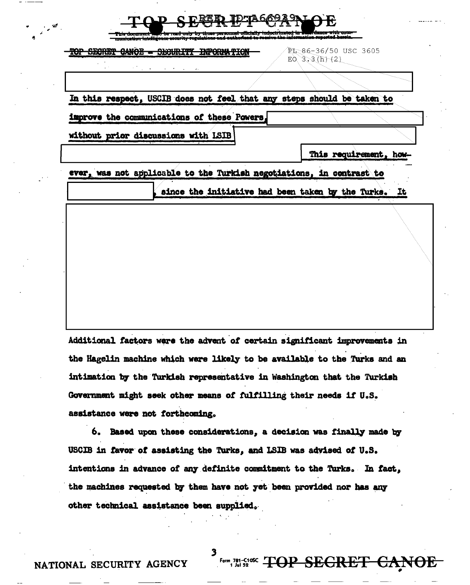| <b>SECRET</b> | CANOE - SECURITY INFORMATION                                           | PL-86-36/50 USC 3605<br>$EO$ 3.3 (h) (2)             |  |
|---------------|------------------------------------------------------------------------|------------------------------------------------------|--|
|               |                                                                        |                                                      |  |
|               | In this respect, USCIB does not feel that any steps should be taken to |                                                      |  |
|               | improve the communications of these Powers,                            |                                                      |  |
|               | without prior discussions with LSIB                                    |                                                      |  |
|               |                                                                        | This requirement, how-                               |  |
|               | ever, was not applicable to the Turkish negotiations, in contrast to   |                                                      |  |
|               |                                                                        | since the initiative had been taken by the Turks. It |  |
|               |                                                                        |                                                      |  |
|               |                                                                        |                                                      |  |
|               |                                                                        |                                                      |  |
|               |                                                                        |                                                      |  |

Additional factors were the advent of certain significant improvements in the Hagelin machine which were likely to be available to the Turks and an intimation by the Turkish representative in Washington that the Turkish Government might seek other means of fulfilling their needs if U.S. assistance were not forthcoming.

6. Based upon these considerations, a decision was finally made by USCIB in favor of assisting the Turks, and LSIB was advised of U.S. intentions in advance of any definite commitment to the Turks. In fact, the machines requested by them have not yet been provided nor has any other technical assistance been supplied.

Form 781-C10C TOP SEGRET CANOE

NATIONAL SECURITY AGENCY